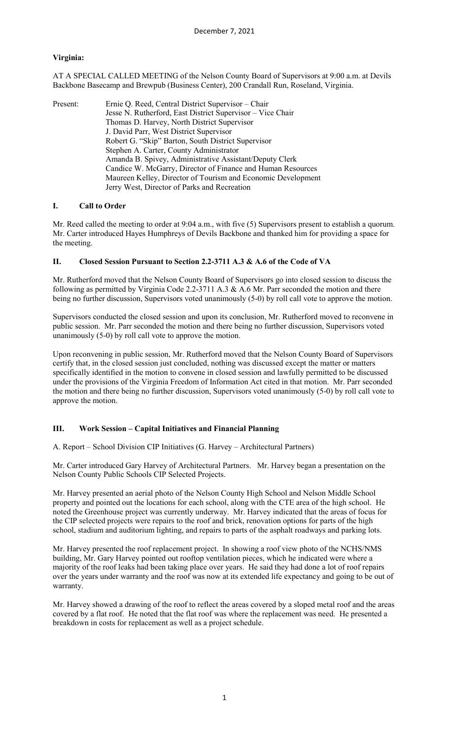# **Virginia:**

AT A SPECIAL CALLED MEETING of the Nelson County Board of Supervisors at 9:00 a.m. at Devils Backbone Basecamp and Brewpub (Business Center), 200 Crandall Run, Roseland, Virginia.

| Present: | Ernie Q. Reed, Central District Supervisor – Chair           |
|----------|--------------------------------------------------------------|
|          | Jesse N. Rutherford, East District Supervisor – Vice Chair   |
|          | Thomas D. Harvey, North District Supervisor                  |
|          | J. David Parr, West District Supervisor                      |
|          | Robert G. "Skip" Barton, South District Supervisor           |
|          | Stephen A. Carter, County Administrator                      |
|          | Amanda B. Spivey, Administrative Assistant/Deputy Clerk      |
|          | Candice W. McGarry, Director of Finance and Human Resources  |
|          | Maureen Kelley, Director of Tourism and Economic Development |
|          | Jerry West, Director of Parks and Recreation                 |

## **I. Call to Order**

Mr. Reed called the meeting to order at 9:04 a.m., with five (5) Supervisors present to establish a quorum. Mr. Carter introduced Hayes Humphreys of Devils Backbone and thanked him for providing a space for the meeting.

### **II. Closed Session Pursuant to Section 2.2-3711 A.3 & A.6 of the Code of VA**

Mr. Rutherford moved that the Nelson County Board of Supervisors go into closed session to discuss the following as permitted by Virginia Code 2.2-3711 A.3 & A.6 Mr. Parr seconded the motion and there being no further discussion, Supervisors voted unanimously (5-0) by roll call vote to approve the motion.

Supervisors conducted the closed session and upon its conclusion, Mr. Rutherford moved to reconvene in public session. Mr. Parr seconded the motion and there being no further discussion, Supervisors voted unanimously (5-0) by roll call vote to approve the motion.

Upon reconvening in public session, Mr. Rutherford moved that the Nelson County Board of Supervisors certify that, in the closed session just concluded, nothing was discussed except the matter or matters specifically identified in the motion to convene in closed session and lawfully permitted to be discussed under the provisions of the Virginia Freedom of Information Act cited in that motion. Mr. Parr seconded the motion and there being no further discussion, Supervisors voted unanimously (5-0) by roll call vote to approve the motion.

## **III. Work Session – Capital Initiatives and Financial Planning**

A. Report – School Division CIP Initiatives (G. Harvey – Architectural Partners)

Mr. Carter introduced Gary Harvey of Architectural Partners. Mr. Harvey began a presentation on the Nelson County Public Schools CIP Selected Projects.

Mr. Harvey presented an aerial photo of the Nelson County High School and Nelson Middle School property and pointed out the locations for each school, along with the CTE area of the high school. He noted the Greenhouse project was currently underway. Mr. Harvey indicated that the areas of focus for the CIP selected projects were repairs to the roof and brick, renovation options for parts of the high school, stadium and auditorium lighting, and repairs to parts of the asphalt roadways and parking lots.

Mr. Harvey presented the roof replacement project. In showing a roof view photo of the NCHS/NMS building, Mr. Gary Harvey pointed out rooftop ventilation pieces, which he indicated were where a majority of the roof leaks had been taking place over years. He said they had done a lot of roof repairs over the years under warranty and the roof was now at its extended life expectancy and going to be out of warranty.

Mr. Harvey showed a drawing of the roof to reflect the areas covered by a sloped metal roof and the areas covered by a flat roof. He noted that the flat roof was where the replacement was need. He presented a breakdown in costs for replacement as well as a project schedule.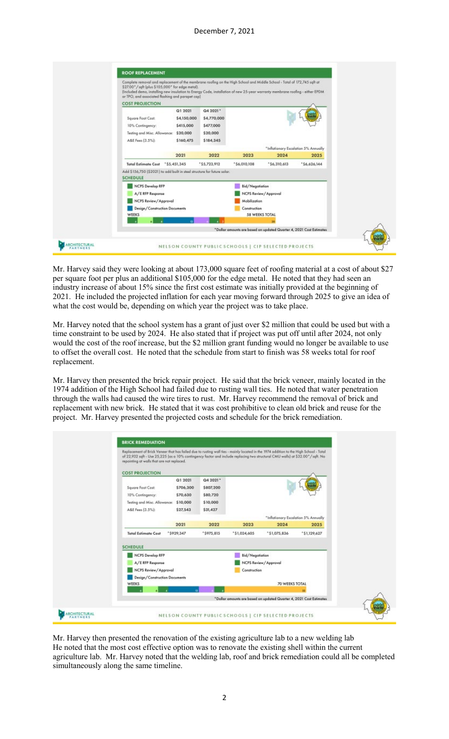### December 7, 2021

| Complete removal and replacement of the membrane roofing on the High School and Middle School - Total of 172,745 sqft at<br>\$27.00" / sqft (plus \$105,000" for edge metal).<br>[Included demo, installing new insulation to Energy Code, installation of new 25-year warranty membrane roofing - either EPDM.<br>or TPO, and associated flashing and parapet cap) |             |              |                 |                                      |                                                                     |
|---------------------------------------------------------------------------------------------------------------------------------------------------------------------------------------------------------------------------------------------------------------------------------------------------------------------------------------------------------------------|-------------|--------------|-----------------|--------------------------------------|---------------------------------------------------------------------|
| <b>COST PROJECTION</b>                                                                                                                                                                                                                                                                                                                                              |             |              |                 |                                      |                                                                     |
|                                                                                                                                                                                                                                                                                                                                                                     | Q1 2021     | Q4 2021*     |                 |                                      |                                                                     |
| Square Foot Cost:                                                                                                                                                                                                                                                                                                                                                   | \$4,150,000 | \$4,770,000  |                 |                                      |                                                                     |
| 10% Contingency:                                                                                                                                                                                                                                                                                                                                                    | \$415,000   | \$477,000    |                 |                                      |                                                                     |
| Testing and Misc. Allowance:                                                                                                                                                                                                                                                                                                                                        | \$20,000    | \$20,000     |                 |                                      |                                                                     |
| A&E Fees [3.5%]:                                                                                                                                                                                                                                                                                                                                                    | \$160,475   | \$184,345    |                 |                                      |                                                                     |
|                                                                                                                                                                                                                                                                                                                                                                     |             |              |                 | *Inflationary Escalation 5% Annually |                                                                     |
|                                                                                                                                                                                                                                                                                                                                                                     | 2021        | 2022         | 2023            | 2024                                 | 2025                                                                |
| Total Estimate Cost *55.451,345                                                                                                                                                                                                                                                                                                                                     |             | "\$5,723,912 | $*56.010.108$   | $*56,310,613$                        | \$6,626,144                                                         |
| Add \$156,750 (\$2021) to add built in steel structure for future solar.<br><b>SCHEDULE</b>                                                                                                                                                                                                                                                                         |             |              |                 |                                      |                                                                     |
| NCPS Develop RFP                                                                                                                                                                                                                                                                                                                                                    |             |              | Bid/Negotiation |                                      |                                                                     |
| A/E RFP Response                                                                                                                                                                                                                                                                                                                                                    |             |              |                 | NCPS Review/Approval                 |                                                                     |
| NCPS Review / Approval                                                                                                                                                                                                                                                                                                                                              |             |              | Mobilization    |                                      |                                                                     |
| Design/Construction Documents                                                                                                                                                                                                                                                                                                                                       |             |              | Construction    |                                      |                                                                     |
| WEEKS                                                                                                                                                                                                                                                                                                                                                               |             |              |                 | 58 WEEKS TOTAL                       |                                                                     |
|                                                                                                                                                                                                                                                                                                                                                                     |             |              |                 |                                      |                                                                     |
|                                                                                                                                                                                                                                                                                                                                                                     |             |              |                 |                                      | *Dollar amounts are based on updated Quarter 4, 2021 Cast Estimates |

Mr. Harvey said they were looking at about 173,000 square feet of roofing material at a cost of about \$27 per square foot per plus an additional \$105,000 for the edge metal. He noted that they had seen an industry increase of about 15% since the first cost estimate was initially provided at the beginning of 2021. He included the projected inflation for each year moving forward through 2025 to give an idea of what the cost would be, depending on which year the project was to take place.

Mr. Harvey noted that the school system has a grant of just over \$2 million that could be used but with a time constraint to be used by 2024. He also stated that if project was put off until after 2024, not only would the cost of the roof increase, but the \$2 million grant funding would no longer be available to use to offset the overall cost. He noted that the schedule from start to finish was 58 weeks total for roof replacement.

Mr. Harvey then presented the brick repair project. He said that the brick veneer, mainly located in the 1974 addition of the High School had failed due to rusting wall ties. He noted that water penetration through the walls had caused the wire tires to rust. Mr. Harvey recommend the removal of brick and replacement with new brick. He stated that it was cost prohibitive to clean old brick and reuse for the project. Mr. Harvey presented the projected costs and schedule for the brick remediation.



Mr. Harvey then presented the renovation of the existing agriculture lab to a new welding lab He noted that the most cost effective option was to renovate the existing shell within the current agriculture lab. Mr. Harvey noted that the welding lab, roof and brick remediation could all be completed simultaneously along the same timeline.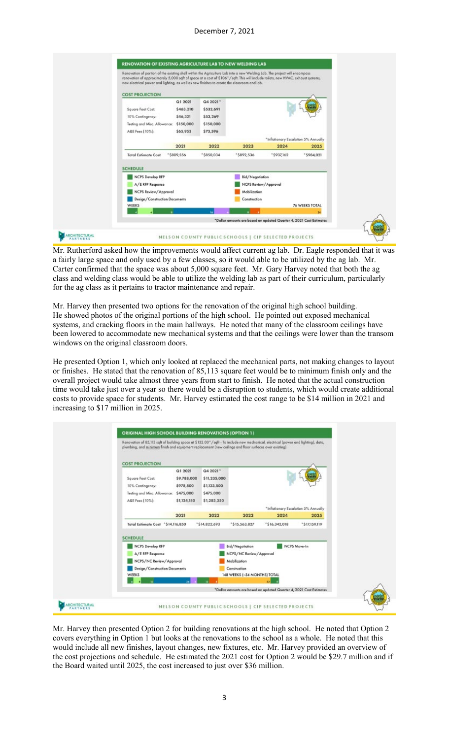

Mr. Rutherford asked how the improvements would affect current ag lab. Dr. Eagle responded that it was a fairly large space and only used by a few classes, so it would able to be utilized by the ag lab. Mr. Carter confirmed that the space was about 5,000 square feet. Mr. Gary Harvey noted that both the ag class and welding class would be able to utilize the welding lab as part of their curriculum, particularly for the ag class as it pertains to tractor maintenance and repair.

Mr. Harvey then presented two options for the renovation of the original high school building. He showed photos of the original portions of the high school. He pointed out exposed mechanical systems, and cracking floors in the main hallways. He noted that many of the classroom ceilings have been lowered to accommodate new mechanical systems and that the ceilings were lower than the transom windows on the original classroom doors.

He presented Option 1, which only looked at replaced the mechanical parts, not making changes to layout or finishes. He stated that the renovation of 85,113 square feet would be to minimum finish only and the overall project would take almost three years from start to finish. He noted that the actual construction time would take just over a year so there would be a disruption to students, which would create additional costs to provide space for students. Mr. Harvey estimated the cost range to be \$14 million in 2021 and increasing to \$17 million in 2025.



Mr. Harvey then presented Option 2 for building renovations at the high school. He noted that Option 2 covers everything in Option 1 but looks at the renovations to the school as a whole. He noted that this would include all new finishes, layout changes, new fixtures, etc. Mr. Harvey provided an overview of the cost projections and schedule. He estimated the 2021 cost for Option 2 would be \$29.7 million and if the Board waited until 2025, the cost increased to just over \$36 million.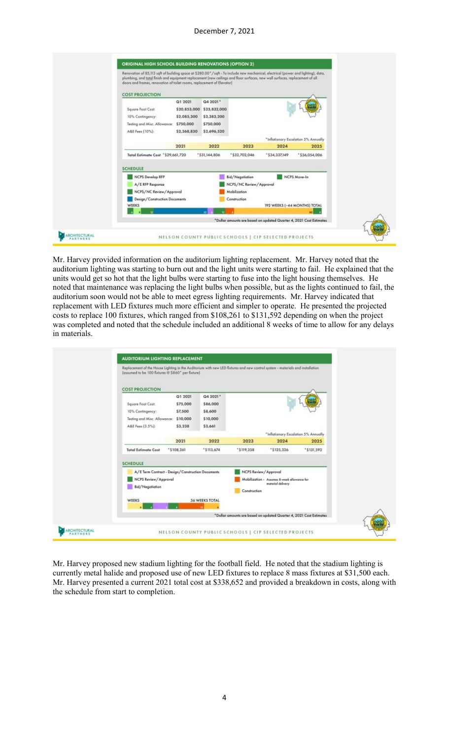

Mr. Harvey provided information on the auditorium lighting replacement. Mr. Harvey noted that the auditorium lighting was starting to burn out and the light units were starting to fail. He explained that the units would get so hot that the light bulbs were starting to fuse into the light housing themselves. He noted that maintenance was replacing the light bulbs when possible, but as the lights continued to fail, the auditorium soon would not be able to meet egress lighting requirements. Mr. Harvey indicated that replacement with LED fixtures much more efficient and simpler to operate. He presented the projected costs to replace 100 fixtures, which ranged from \$108,261 to \$131,592 depending on when the project was completed and noted that the schedule included an additional 8 weeks of time to allow for any delays in materials.



Mr. Harvey proposed new stadium lighting for the football field. He noted that the stadium lighting is currently metal halide and proposed use of new LED fixtures to replace 8 mass fixtures at \$31,500 each. Mr. Harvey presented a current 2021 total cost at \$338,652 and provided a breakdown in costs, along with the schedule from start to completion.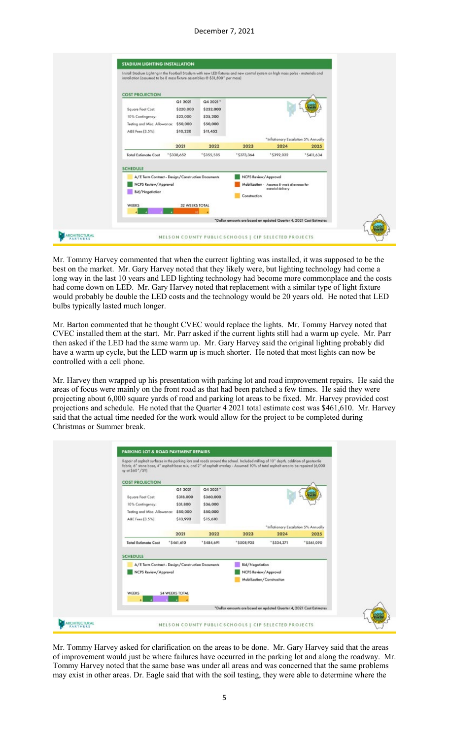| Install Stadium Lighting in the Football Stadium with new LED fotures and new control system on high mass poles - materials and<br>installation (assumed to be 8 mass forture assemblies @ \$31,500° per mass) |                                                   |                                               |                                                                     |                                                                  |            |
|----------------------------------------------------------------------------------------------------------------------------------------------------------------------------------------------------------------|---------------------------------------------------|-----------------------------------------------|---------------------------------------------------------------------|------------------------------------------------------------------|------------|
| <b>COST PROJECTION</b>                                                                                                                                                                                         |                                                   |                                               |                                                                     |                                                                  |            |
| Square Foot Cost:<br>10% Contingency:<br>Testing and Misc. Allowance:                                                                                                                                          | Q1 2021<br>\$220,000<br>\$22,000<br>\$50,000      | Q4 2021*<br>\$252,000<br>\$25,200<br>\$50,000 |                                                                     |                                                                  |            |
| A&E Fees [3.5%]:                                                                                                                                                                                               | \$10,220                                          | \$11,452                                      |                                                                     | *Inflationary Escalation 5% Annually                             |            |
|                                                                                                                                                                                                                | 2021                                              | 2022                                          | 2023                                                                | 2024                                                             | 2025       |
| <b>Total Estimate Cost</b>                                                                                                                                                                                     | *\$338,652                                        | *\$355,585                                    | "\$373,364                                                          | *\$392,032                                                       | *\$411,634 |
| <b>SCHEDULE</b><br>NCPS Review / Approval<br>Bid/Negotiation                                                                                                                                                   | A/E Term Contract - Design/Construction Documents |                                               | NCPS Review/Approval<br>Construction                                | Mobilization - Assumes B-week allowance for<br>moterial delivery |            |
| WEEKS                                                                                                                                                                                                          | 32 WEEKS TOTAL                                    | <b>IB</b>                                     |                                                                     |                                                                  |            |
|                                                                                                                                                                                                                |                                                   |                                               | *Dollar amounts are based on updated Quarter 4, 2021 Cost Estimates |                                                                  |            |

Mr. Tommy Harvey commented that when the current lighting was installed, it was supposed to be the best on the market. Mr. Gary Harvey noted that they likely were, but lighting technology had come a long way in the last 10 years and LED lighting technology had become more commonplace and the costs had come down on LED. Mr. Gary Harvey noted that replacement with a similar type of light fixture would probably be double the LED costs and the technology would be 20 years old. He noted that LED bulbs typically lasted much longer.

Mr. Barton commented that he thought CVEC would replace the lights. Mr. Tommy Harvey noted that CVEC installed them at the start. Mr. Parr asked if the current lights still had a warm up cycle. Mr. Parr then asked if the LED had the same warm up. Mr. Gary Harvey said the original lighting probably did have a warm up cycle, but the LED warm up is much shorter. He noted that most lights can now be controlled with a cell phone.

Mr. Harvey then wrapped up his presentation with parking lot and road improvement repairs. He said the areas of focus were mainly on the front road as that had been patched a few times. He said they were projecting about 6,000 square yards of road and parking lot areas to be fixed. Mr. Harvey provided cost projections and schedule. He noted that the Quarter 4 2021 total estimate cost was \$461,610. Mr. Harvey said that the actual time needed for the work would allow for the project to be completed during Christmas or Summer break.

| Repair of asphalt surfaces in the parking lots and roads around the school. Included milling of 10" depth, addition of geotextile<br>fabric, 6" stane base, 4" asphalt base mix, and 2" of asphalt overlay - Assumed 10% of total asphalt area to be repaired (6,000<br>sy at \$60°/SY] |                                                                             |                                                           |                                                                     |                                                                      |            |  |
|-----------------------------------------------------------------------------------------------------------------------------------------------------------------------------------------------------------------------------------------------------------------------------------------|-----------------------------------------------------------------------------|-----------------------------------------------------------|---------------------------------------------------------------------|----------------------------------------------------------------------|------------|--|
| <b>COST PROJECTION</b><br>Square Foot Cost:<br>10% Contingency:<br>Testing and Misc. Allowance:<br>A&E Fees [3.5%]:                                                                                                                                                                     | Q1 2021<br>\$318,000<br>\$31,800<br>\$50,000<br>\$13,993                    | Q4 2021*<br>\$360,000<br>\$36,000<br>\$50,000<br>\$15,610 |                                                                     | *Inflationary Escalation 5% Annually                                 |            |  |
|                                                                                                                                                                                                                                                                                         | 2021                                                                        | 2022                                                      | 2023                                                                | 2024                                                                 | 2025       |  |
| <b>Total Estimate Cost</b>                                                                                                                                                                                                                                                              | $*5461,610$                                                                 | *\$484,691                                                | *\$508,925                                                          | *\$534,371                                                           | *\$561,090 |  |
| <b>SCHEDULE</b>                                                                                                                                                                                                                                                                         | A/E Term Contract - Design/Construction Documents<br>NCPS Review / Approval |                                                           |                                                                     | Bid/Negotiation<br>NCPS Review/Approval<br>Mobilization/Construction |            |  |
| WEEKS                                                                                                                                                                                                                                                                                   | 24 WEEKS TOTAL                                                              |                                                           | *Dollar amounts are based on updated Quarter 4, 2021 Cast Estimates |                                                                      |            |  |

Mr. Tommy Harvey asked for clarification on the areas to be done. Mr. Gary Harvey said that the areas of improvement would just be where failures have occurred in the parking lot and along the roadway. Mr. Tommy Harvey noted that the same base was under all areas and was concerned that the same problems may exist in other areas. Dr. Eagle said that with the soil testing, they were able to determine where the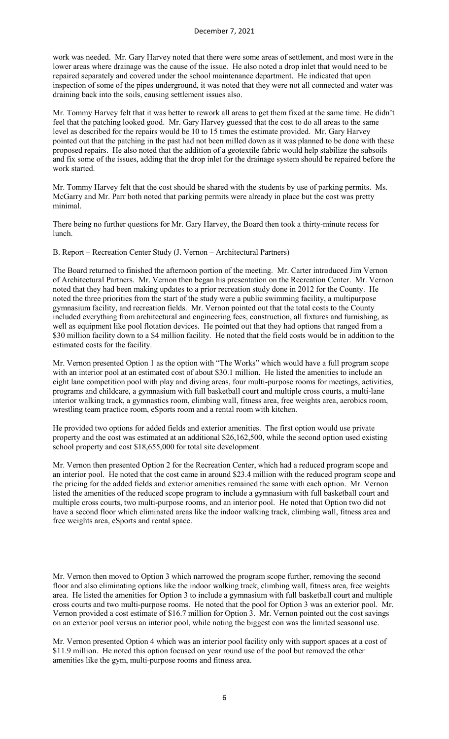work was needed. Mr. Gary Harvey noted that there were some areas of settlement, and most were in the lower areas where drainage was the cause of the issue. He also noted a drop inlet that would need to be repaired separately and covered under the school maintenance department. He indicated that upon inspection of some of the pipes underground, it was noted that they were not all connected and water was draining back into the soils, causing settlement issues also.

Mr. Tommy Harvey felt that it was better to rework all areas to get them fixed at the same time. He didn't feel that the patching looked good. Mr. Gary Harvey guessed that the cost to do all areas to the same level as described for the repairs would be 10 to 15 times the estimate provided. Mr. Gary Harvey pointed out that the patching in the past had not been milled down as it was planned to be done with these proposed repairs. He also noted that the addition of a geotextile fabric would help stabilize the subsoils and fix some of the issues, adding that the drop inlet for the drainage system should be repaired before the work started.

Mr. Tommy Harvey felt that the cost should be shared with the students by use of parking permits. Ms. McGarry and Mr. Parr both noted that parking permits were already in place but the cost was pretty minimal.

There being no further questions for Mr. Gary Harvey, the Board then took a thirty-minute recess for lunch.

B. Report – Recreation Center Study (J. Vernon – Architectural Partners)

The Board returned to finished the afternoon portion of the meeting. Mr. Carter introduced Jim Vernon of Architectural Partners. Mr. Vernon then began his presentation on the Recreation Center. Mr. Vernon noted that they had been making updates to a prior recreation study done in 2012 for the County. He noted the three priorities from the start of the study were a public swimming facility, a multipurpose gymnasium facility, and recreation fields. Mr. Vernon pointed out that the total costs to the County included everything from architectural and engineering fees, construction, all fixtures and furnishing, as well as equipment like pool flotation devices. He pointed out that they had options that ranged from a \$30 million facility down to a \$4 million facility. He noted that the field costs would be in addition to the estimated costs for the facility.

Mr. Vernon presented Option 1 as the option with "The Works" which would have a full program scope with an interior pool at an estimated cost of about \$30.1 million. He listed the amenities to include an eight lane competition pool with play and diving areas, four multi-purpose rooms for meetings, activities, programs and childcare, a gymnasium with full basketball court and multiple cross courts, a multi-lane interior walking track, a gymnastics room, climbing wall, fitness area, free weights area, aerobics room, wrestling team practice room, eSports room and a rental room with kitchen.

He provided two options for added fields and exterior amenities. The first option would use private property and the cost was estimated at an additional \$26,162,500, while the second option used existing school property and cost \$18,655,000 for total site development.

Mr. Vernon then presented Option 2 for the Recreation Center, which had a reduced program scope and an interior pool. He noted that the cost came in around \$23.4 million with the reduced program scope and the pricing for the added fields and exterior amenities remained the same with each option. Mr. Vernon listed the amenities of the reduced scope program to include a gymnasium with full basketball court and multiple cross courts, two multi-purpose rooms, and an interior pool. He noted that Option two did not have a second floor which eliminated areas like the indoor walking track, climbing wall, fitness area and free weights area, eSports and rental space.

Mr. Vernon then moved to Option 3 which narrowed the program scope further, removing the second floor and also eliminating options like the indoor walking track, climbing wall, fitness area, free weights area. He listed the amenities for Option 3 to include a gymnasium with full basketball court and multiple cross courts and two multi-purpose rooms. He noted that the pool for Option 3 was an exterior pool. Mr. Vernon provided a cost estimate of \$16.7 million for Option 3. Mr. Vernon pointed out the cost savings on an exterior pool versus an interior pool, while noting the biggest con was the limited seasonal use.

Mr. Vernon presented Option 4 which was an interior pool facility only with support spaces at a cost of \$11.9 million. He noted this option focused on year round use of the pool but removed the other amenities like the gym, multi-purpose rooms and fitness area.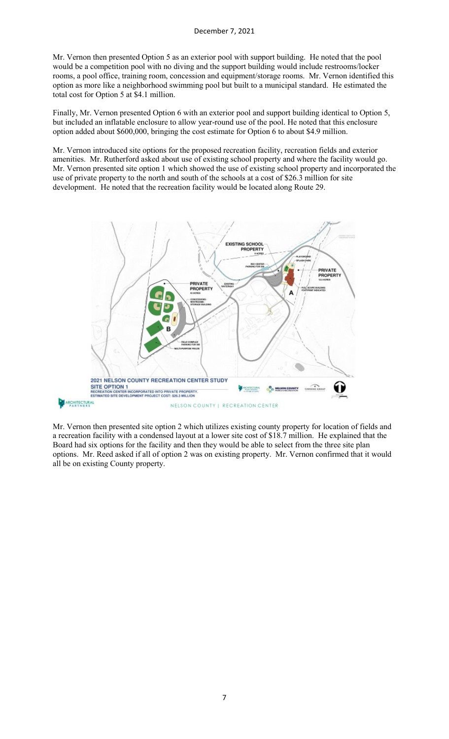Mr. Vernon then presented Option 5 as an exterior pool with support building. He noted that the pool would be a competition pool with no diving and the support building would include restrooms/locker rooms, a pool office, training room, concession and equipment/storage rooms. Mr. Vernon identified this option as more like a neighborhood swimming pool but built to a municipal standard. He estimated the total cost for Option 5 at \$4.1 million.

Finally, Mr. Vernon presented Option 6 with an exterior pool and support building identical to Option 5, but included an inflatable enclosure to allow year-round use of the pool. He noted that this enclosure option added about \$600,000, bringing the cost estimate for Option 6 to about \$4.9 million.

Mr. Vernon introduced site options for the proposed recreation facility, recreation fields and exterior amenities. Mr. Rutherford asked about use of existing school property and where the facility would go. Mr. Vernon presented site option 1 which showed the use of existing school property and incorporated the use of private property to the north and south of the schools at a cost of \$26.3 million for site development. He noted that the recreation facility would be located along Route 29.



Mr. Vernon then presented site option 2 which utilizes existing county property for location of fields and a recreation facility with a condensed layout at a lower site cost of \$18.7 million. He explained that the Board had six options for the facility and then they would be able to select from the three site plan options. Mr. Reed asked if all of option 2 was on existing property. Mr. Vernon confirmed that it would all be on existing County property.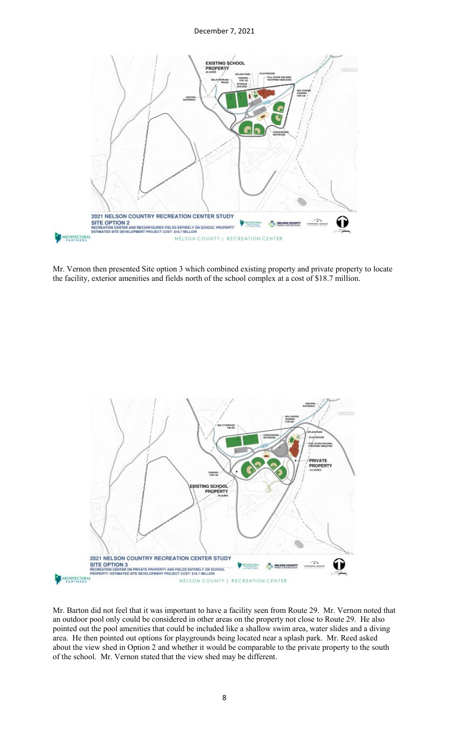

Mr. Vernon then presented Site option 3 which combined existing property and private property to locate the facility, exterior amenities and fields north of the school complex at a cost of \$18.7 million.



Mr. Barton did not feel that it was important to have a facility seen from Route 29. Mr. Vernon noted that an outdoor pool only could be considered in other areas on the property not close to Route 29. He also pointed out the pool amenities that could be included like a shallow swim area, water slides and a diving area. He then pointed out options for playgrounds being located near a splash park. Mr. Reed asked about the view shed in Option 2 and whether it would be comparable to the private property to the south of the school. Mr. Vernon stated that the view shed may be different.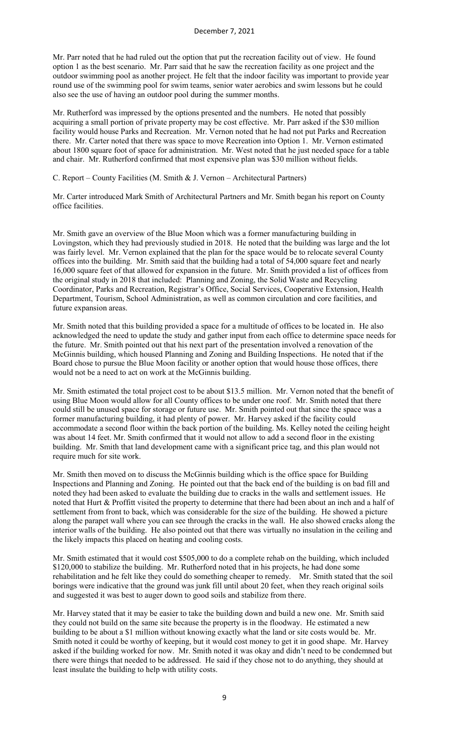Mr. Parr noted that he had ruled out the option that put the recreation facility out of view. He found option 1 as the best scenario. Mr. Parr said that he saw the recreation facility as one project and the outdoor swimming pool as another project. He felt that the indoor facility was important to provide year round use of the swimming pool for swim teams, senior water aerobics and swim lessons but he could also see the use of having an outdoor pool during the summer months.

Mr. Rutherford was impressed by the options presented and the numbers. He noted that possibly acquiring a small portion of private property may be cost effective. Mr. Parr asked if the \$30 million facility would house Parks and Recreation. Mr. Vernon noted that he had not put Parks and Recreation there. Mr. Carter noted that there was space to move Recreation into Option 1. Mr. Vernon estimated about 1800 square foot of space for administration. Mr. West noted that he just needed space for a table and chair. Mr. Rutherford confirmed that most expensive plan was \$30 million without fields.

C. Report – County Facilities (M. Smith & J. Vernon – Architectural Partners)

Mr. Carter introduced Mark Smith of Architectural Partners and Mr. Smith began his report on County office facilities.

Mr. Smith gave an overview of the Blue Moon which was a former manufacturing building in Lovingston, which they had previously studied in 2018. He noted that the building was large and the lot was fairly level. Mr. Vernon explained that the plan for the space would be to relocate several County offices into the building. Mr. Smith said that the building had a total of 54,000 square feet and nearly 16,000 square feet of that allowed for expansion in the future. Mr. Smith provided a list of offices from the original study in 2018 that included: Planning and Zoning, the Solid Waste and Recycling Coordinator, Parks and Recreation, Registrar's Office, Social Services, Cooperative Extension, Health Department, Tourism, School Administration, as well as common circulation and core facilities, and future expansion areas.

Mr. Smith noted that this building provided a space for a multitude of offices to be located in. He also acknowledged the need to update the study and gather input from each office to determine space needs for the future. Mr. Smith pointed out that his next part of the presentation involved a renovation of the McGinnis building, which housed Planning and Zoning and Building Inspections. He noted that if the Board chose to pursue the Blue Moon facility or another option that would house those offices, there would not be a need to act on work at the McGinnis building.

Mr. Smith estimated the total project cost to be about \$13.5 million. Mr. Vernon noted that the benefit of using Blue Moon would allow for all County offices to be under one roof. Mr. Smith noted that there could still be unused space for storage or future use. Mr. Smith pointed out that since the space was a former manufacturing building, it had plenty of power. Mr. Harvey asked if the facility could accommodate a second floor within the back portion of the building. Ms. Kelley noted the ceiling height was about 14 feet. Mr. Smith confirmed that it would not allow to add a second floor in the existing building. Mr. Smith that land development came with a significant price tag, and this plan would not require much for site work.

Mr. Smith then moved on to discuss the McGinnis building which is the office space for Building Inspections and Planning and Zoning. He pointed out that the back end of the building is on bad fill and noted they had been asked to evaluate the building due to cracks in the walls and settlement issues. He noted that Hurt & Proffitt visited the property to determine that there had been about an inch and a half of settlement from front to back, which was considerable for the size of the building. He showed a picture along the parapet wall where you can see through the cracks in the wall. He also showed cracks along the interior walls of the building. He also pointed out that there was virtually no insulation in the ceiling and the likely impacts this placed on heating and cooling costs.

Mr. Smith estimated that it would cost \$505,000 to do a complete rehab on the building, which included \$120,000 to stabilize the building. Mr. Rutherford noted that in his projects, he had done some rehabilitation and he felt like they could do something cheaper to remedy. Mr. Smith stated that the soil borings were indicative that the ground was junk fill until about 20 feet, when they reach original soils and suggested it was best to auger down to good soils and stabilize from there.

Mr. Harvey stated that it may be easier to take the building down and build a new one. Mr. Smith said they could not build on the same site because the property is in the floodway. He estimated a new building to be about a \$1 million without knowing exactly what the land or site costs would be. Mr. Smith noted it could be worthy of keeping, but it would cost money to get it in good shape. Mr. Harvey asked if the building worked for now. Mr. Smith noted it was okay and didn't need to be condemned but there were things that needed to be addressed. He said if they chose not to do anything, they should at least insulate the building to help with utility costs.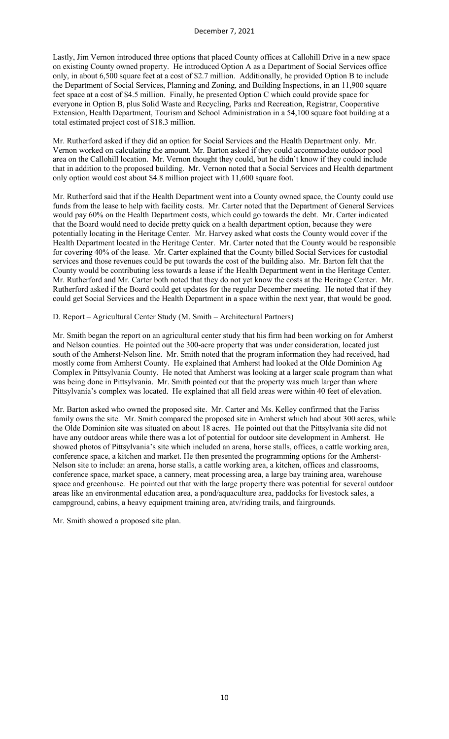Lastly, Jim Vernon introduced three options that placed County offices at Callohill Drive in a new space on existing County owned property. He introduced Option A as a Department of Social Services office only, in about 6,500 square feet at a cost of \$2.7 million. Additionally, he provided Option B to include the Department of Social Services, Planning and Zoning, and Building Inspections, in an 11,900 square feet space at a cost of \$4.5 million. Finally, he presented Option C which could provide space for everyone in Option B, plus Solid Waste and Recycling, Parks and Recreation, Registrar, Cooperative Extension, Health Department, Tourism and School Administration in a 54,100 square foot building at a total estimated project cost of \$18.3 million.

Mr. Rutherford asked if they did an option for Social Services and the Health Department only. Mr. Vernon worked on calculating the amount. Mr. Barton asked if they could accommodate outdoor pool area on the Callohill location. Mr. Vernon thought they could, but he didn't know if they could include that in addition to the proposed building. Mr. Vernon noted that a Social Services and Health department only option would cost about \$4.8 million project with 11,600 square foot.

Mr. Rutherford said that if the Health Department went into a County owned space, the County could use funds from the lease to help with facility costs. Mr. Carter noted that the Department of General Services would pay 60% on the Health Department costs, which could go towards the debt. Mr. Carter indicated that the Board would need to decide pretty quick on a health department option, because they were potentially locating in the Heritage Center. Mr. Harvey asked what costs the County would cover if the Health Department located in the Heritage Center. Mr. Carter noted that the County would be responsible for covering 40% of the lease. Mr. Carter explained that the County billed Social Services for custodial services and those revenues could be put towards the cost of the building also. Mr. Barton felt that the County would be contributing less towards a lease if the Health Department went in the Heritage Center. Mr. Rutherford and Mr. Carter both noted that they do not yet know the costs at the Heritage Center. Mr. Rutherford asked if the Board could get updates for the regular December meeting. He noted that if they could get Social Services and the Health Department in a space within the next year, that would be good.

D. Report – Agricultural Center Study (M. Smith – Architectural Partners)

Mr. Smith began the report on an agricultural center study that his firm had been working on for Amherst and Nelson counties. He pointed out the 300-acre property that was under consideration, located just south of the Amherst-Nelson line. Mr. Smith noted that the program information they had received, had mostly come from Amherst County. He explained that Amherst had looked at the Olde Dominion Ag Complex in Pittsylvania County. He noted that Amherst was looking at a larger scale program than what was being done in Pittsylvania. Mr. Smith pointed out that the property was much larger than where Pittsylvania's complex was located. He explained that all field areas were within 40 feet of elevation.

Mr. Barton asked who owned the proposed site. Mr. Carter and Ms. Kelley confirmed that the Fariss family owns the site. Mr. Smith compared the proposed site in Amherst which had about 300 acres, while the Olde Dominion site was situated on about 18 acres. He pointed out that the Pittsylvania site did not have any outdoor areas while there was a lot of potential for outdoor site development in Amherst. He showed photos of Pittsylvania's site which included an arena, horse stalls, offices, a cattle working area, conference space, a kitchen and market. He then presented the programming options for the Amherst-Nelson site to include: an arena, horse stalls, a cattle working area, a kitchen, offices and classrooms, conference space, market space, a cannery, meat processing area, a large bay training area, warehouse space and greenhouse. He pointed out that with the large property there was potential for several outdoor areas like an environmental education area, a pond/aquaculture area, paddocks for livestock sales, a campground, cabins, a heavy equipment training area, atv/riding trails, and fairgrounds.

Mr. Smith showed a proposed site plan.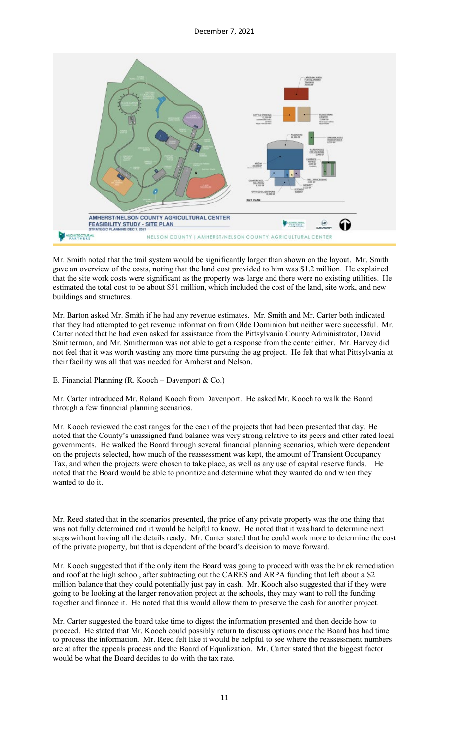

Mr. Smith noted that the trail system would be significantly larger than shown on the layout. Mr. Smith gave an overview of the costs, noting that the land cost provided to him was \$1.2 million. He explained that the site work costs were significant as the property was large and there were no existing utilities. He estimated the total cost to be about \$51 million, which included the cost of the land, site work, and new buildings and structures.

Mr. Barton asked Mr. Smith if he had any revenue estimates. Mr. Smith and Mr. Carter both indicated that they had attempted to get revenue information from Olde Dominion but neither were successful. Mr. Carter noted that he had even asked for assistance from the Pittsylvania County Administrator, David Smitherman, and Mr. Smitherman was not able to get a response from the center either. Mr. Harvey did not feel that it was worth wasting any more time pursuing the ag project. He felt that what Pittsylvania at their facility was all that was needed for Amherst and Nelson.

E. Financial Planning (R. Kooch – Davenport & Co.)

Mr. Carter introduced Mr. Roland Kooch from Davenport. He asked Mr. Kooch to walk the Board through a few financial planning scenarios.

Mr. Kooch reviewed the cost ranges for the each of the projects that had been presented that day. He noted that the County's unassigned fund balance was very strong relative to its peers and other rated local governments. He walked the Board through several financial planning scenarios, which were dependent on the projects selected, how much of the reassessment was kept, the amount of Transient Occupancy Tax, and when the projects were chosen to take place, as well as any use of capital reserve funds. He noted that the Board would be able to prioritize and determine what they wanted do and when they wanted to do it.

Mr. Reed stated that in the scenarios presented, the price of any private property was the one thing that was not fully determined and it would be helpful to know. He noted that it was hard to determine next steps without having all the details ready. Mr. Carter stated that he could work more to determine the cost of the private property, but that is dependent of the board's decision to move forward.

Mr. Kooch suggested that if the only item the Board was going to proceed with was the brick remediation and roof at the high school, after subtracting out the CARES and ARPA funding that left about a \$2 million balance that they could potentially just pay in cash. Mr. Kooch also suggested that if they were going to be looking at the larger renovation project at the schools, they may want to roll the funding together and finance it. He noted that this would allow them to preserve the cash for another project.

Mr. Carter suggested the board take time to digest the information presented and then decide how to proceed. He stated that Mr. Kooch could possibly return to discuss options once the Board has had time to process the information. Mr. Reed felt like it would be helpful to see where the reassessment numbers are at after the appeals process and the Board of Equalization. Mr. Carter stated that the biggest factor would be what the Board decides to do with the tax rate.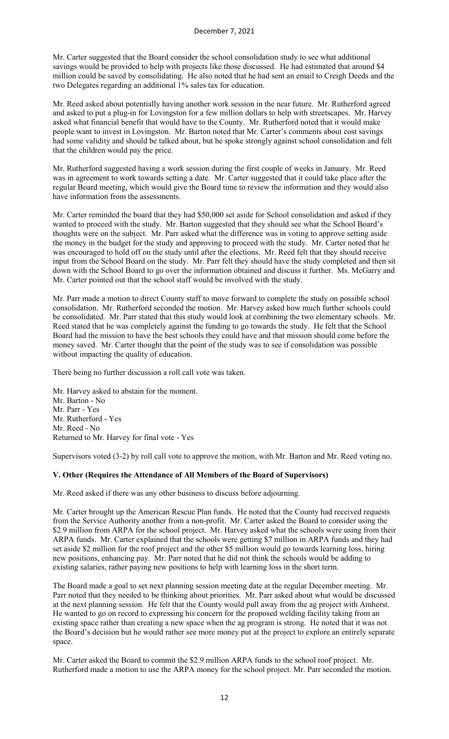Mr. Carter suggested that the Board consider the school consolidation study to see what additional savings would be provided to help with projects like those discussed. He had estimated that around \$4 million could be saved by consolidating. He also noted that he had sent an email to Creigh Deeds and the two Delegates regarding an additional 1% sales tax for education.

Mr. Reed asked about potentially having another work session in the near future. Mr. Rutherford agreed and asked to put a plug-in for Lovingston for a few million dollars to help with streetscapes. Mr. Harvey asked what financial benefit that would have to the County. Mr. Rutherford noted that it would make people want to invest in Lovingston. Mr. Barton noted that Mr. Carter's comments about cost savings had some validity and should be talked about, but he spoke strongly against school consolidation and felt that the children would pay the price.

Mr. Rutherford suggested having a work session during the first couple of weeks in January. Mr. Reed was in agreement to work towards setting a date. Mr. Carter suggested that it could take place after the regular Board meeting, which would give the Board time to review the information and they would also have information from the assessments.

Mr. Carter reminded the board that they had \$50,000 set aside for School consolidation and asked if they wanted to proceed with the study. Mr. Barton suggested that they should see what the School Board's thoughts were on the subject. Mr. Parr asked what the difference was in voting to approve setting aside the money in the budget for the study and approving to proceed with the study. Mr. Carter noted that he was encouraged to hold off on the study until after the elections. Mr. Reed felt that they should receive input from the School Board on the study. Mr. Parr felt they should have the study completed and then sit down with the School Board to go over the information obtained and discuss it further. Ms. McGarry and Mr. Carter pointed out that the school staff would be involved with the study.

Mr. Parr made a motion to direct County staff to move forward to complete the study on possible school consolidation. Mr. Rutherford seconded the motion. Mr. Harvey asked how much further schools could be consolidated. Mr. Parr stated that this study would look at combining the two elementary schools. Mr. Reed stated that he was completely against the funding to go towards the study. He felt that the School Board had the mission to have the best schools they could have and that mission should come before the money saved. Mr. Carter thought that the point of the study was to see if consolidation was possible without impacting the quality of education.

There being no further discussion a roll call vote was taken.

Mr. Harvey asked to abstain for the moment. Mr. Barton - No Mr. Parr - Yes Mr. Rutherford - Yes Mr. Reed - No Returned to Mr. Harvey for final vote - Yes

Supervisors voted (3-2) by roll call vote to approve the motion, with Mr. Barton and Mr. Reed voting no.

### **V. Other (Requires the Attendance of All Members of the Board of Supervisors)**

Mr. Reed asked if there was any other business to discuss before adjourning.

Mr. Carter brought up the American Rescue Plan funds. He noted that the County had received requests from the Service Authority another from a non-profit. Mr. Carter asked the Board to consider using the \$2.9 million from ARPA for the school project. Mr. Harvey asked what the schools were using from their ARPA funds. Mr. Carter explained that the schools were getting \$7 million in ARPA funds and they had set aside \$2 million for the roof project and the other \$5 million would go towards learning loss, hiring new positions, enhancing pay. Mr. Parr noted that he did not think the schools would be adding to existing salaries, rather paying new positions to help with learning loss in the short term.

The Board made a goal to set next planning session meeting date at the regular December meeting. Mr. Parr noted that they needed to be thinking about priorities. Mr. Parr asked about what would be discussed at the next planning session. He felt that the County would pull away from the ag project with Amherst. He wanted to go on record to expressing his concern for the proposed welding facility taking from an existing space rather than creating a new space when the ag program is strong. He noted that it was not the Board's decision but he would rather see more money put at the project to explore an entirely separate space.

Mr. Carter asked the Board to commit the \$2.9 million ARPA funds to the school roof project. Mr. Rutherford made a motion to use the ARPA money for the school project. Mr. Parr seconded the motion.